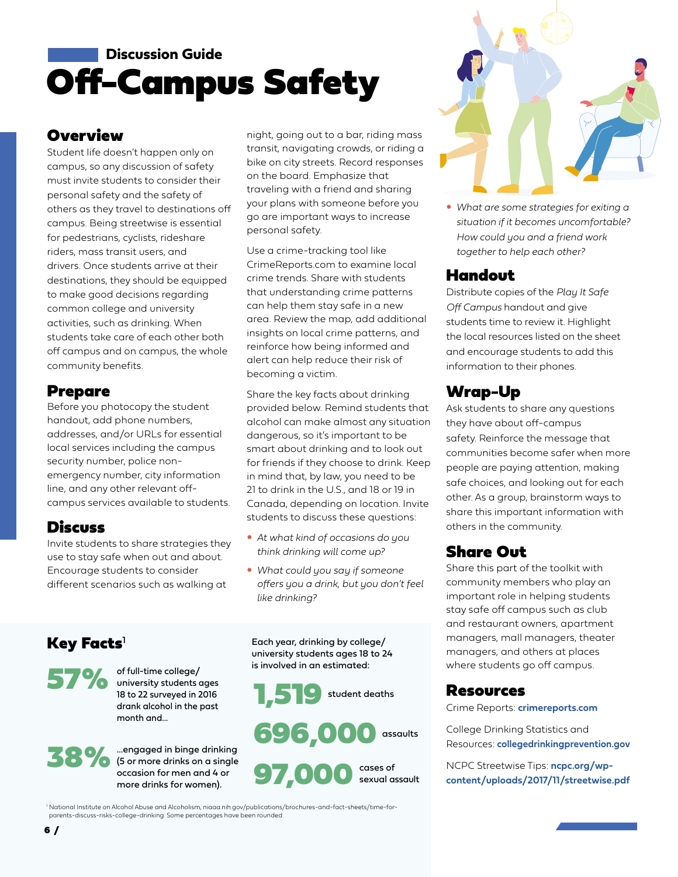# Off-Campus Safety **Discussion Guide**

#### **Overview**

Student life doesn't happen only on campus, so any discussion of safety must invite students to consider their personal safety and the safety of others as they travel to destinations off campus. Being streetwise is essential for pedestrians, cyclists, rideshare riders, mass transit users, and drivers. Once students arrive at their destinations, they should be equipped to make good decisions regarding common college and university activities, such as drinking. When students take care of each other both off campus and on campus, the whole community benefits.

#### Prepare

Before you photocopy the student handout, add phone numbers, addresses, and/or URLs for essential local services including the campus security number, police nonemergency number, city information line, and any other relevant offcampus services available to students.

#### **Discuss**

 $K$ ey Facts<sup>[1](https://www.niaaa.nih.gov/publications/brochures-and-fact-sheets/time-for-parents-discuss-risks-college-drinking)</sup>

Invite students to share strategies they use to stay safe when out and about. Encourage students to consider different scenarios such as walking at

of full-time college/<br>
oniversity students<br>
18 to 22 surveyed in 2

month and...

university students ages 18 to 22 surveyed in 2016 drank alcohol in the past

...engaged in binge drinking (5 or more drinks on a single occasion for men and 4 or more drinks for women).

night, going out to a bar, riding mass transit, navigating crowds, or riding a bike on city streets. Record responses on the board. Emphasize that traveling with a friend and sharing your plans with someone before you go are important ways to increase personal safety.

Use a crime-tracking tool like [CrimeReports.com](https://www.crimereports.com) to examine local crime trends. Share with students that understanding crime patterns can help them stay safe in a new area. Review the map, add additional insights on local crime patterns, and reinforce how being informed and alert can help reduce their risk of becoming a victim.

Share the key facts about drinking provided below. Remind students that alcohol can make almost any situation dangerous, so it's important to be smart about drinking and to look out for friends if they choose to drink. Keep in mind that, by law, you need to be 21 to drink in the U.S., and 18 or 19 in Canada, depending on location. Invite students to discuss these questions:

- y *At what kind of occasions do you think drinking will come up?*
- What could you say if someone *offers you a drink, but you don't feel like drinking?*

Each year, drinking by college/ university students ages 18 to 24 is involved in an estimated:

student deaths



cases of sexual assault 38% Sepanged in binge drinking<br>
(5 or more drinks on a single<br>
occasion for men and 4 or<br>
more drinks for women).

<sup>1</sup> [National Institute on Alcohol Abuse and Alcoholism, niaaa.nih.gov/publications/brochures-and-fact-sheets/time-for](https://www.niaaa.nih.gov/publications/brochures-and-fact-sheets/time-for-parents-discuss-risks-college-drinking)parents-discuss-risks-college-drinking. Some percentages have been rounded.



y *What are some strategies for exiting a situation if it becomes uncomfortable? How could you and a friend work together to help each other?*

#### Handout

Distribute copies of the *Play It Safe Off Campus* handout and give students time to review it. Highlight the local resources listed on the sheet and encourage students to add this information to their phones.

# Wrap-Up

Ask students to share any questions they have about off-campus safety. Reinforce the message that communities become safer when more people are paying attention, making safe choices, and looking out for each other. As a group, brainstorm ways to share this important information with others in the community.

### Share Out

Share this part of the toolkit with community members who play an important role in helping students stay safe off campus such as club and restaurant owners, apartment managers, mall managers, theater managers, and others at places where students go off campus.

#### Resources

Crime Reports: **[crimereports.com](https://www.crimereports.com)**

College Drinking Statistics and Resources: **[collegedrinkingprevention.gov](https://www.collegedrinkingprevention.gov)**

NCPC Streetwise Tips: **ncpc.org/wp[content/uploads/2017/11/streetwise.pdf](http://www.ncpc.org/wp-content/uploads/2017/11/streetwise.pdf)**